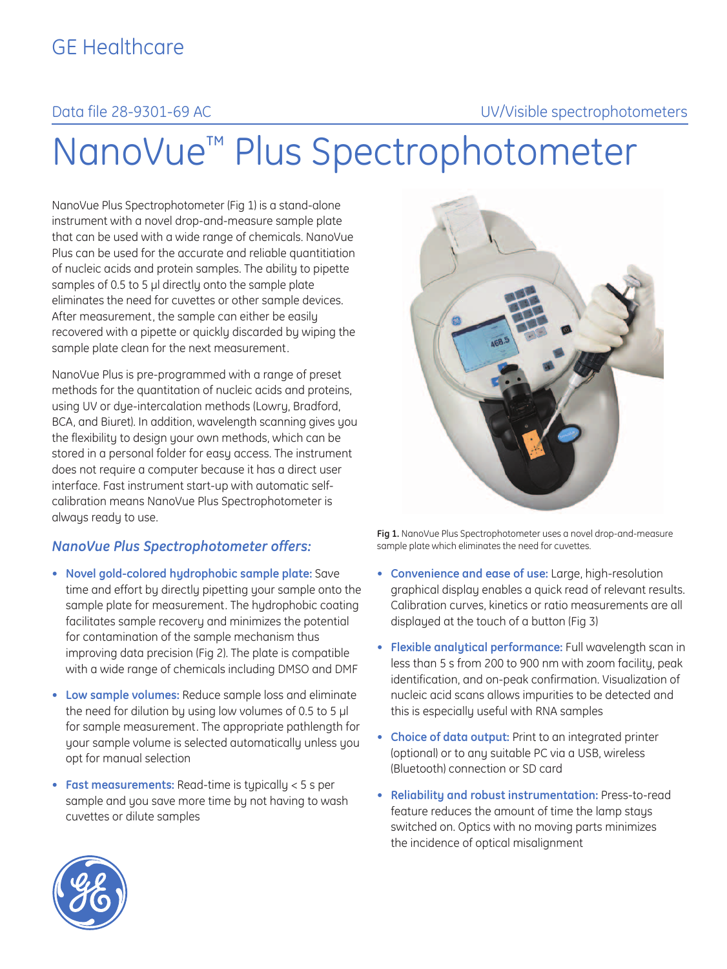# Data file 28-9301-69 AC UV/Visible spectrophotometers

# NanoVue™ Plus Spectrophotometer

NanoVue Plus Spectrophotometer (Fig 1) is a stand-alone instrument with a novel drop-and-measure sample plate that can be used with a wide range of chemicals. NanoVue Plus can be used for the accurate and reliable quantitiation of nucleic acids and protein samples. The ability to pipette samples of 0.5 to 5 μl directly onto the sample plate eliminates the need for cuvettes or other sample devices. After measurement, the sample can either be easily recovered with a pipette or quickly discarded by wiping the sample plate clean for the next measurement.

NanoVue Plus is pre-programmed with a range of preset methods for the quantitation of nucleic acids and proteins, using UV or dye-intercalation methods (Lowry, Bradford, BCA, and Biuret). In addition, wavelength scanning gives you the flexibility to design your own methods, which can be stored in a personal folder for easy access. The instrument does not require a computer because it has a direct user interface. Fast instrument start-up with automatic selfcalibration means NanoVue Plus Spectrophotometer is always ready to use.

### *NanoVue Plus Spectrophotometer offers:*

- **Novel gold-colored hydrophobic sample plate:** Save time and effort by directly pipetting your sample onto the sample plate for measurement. The hydrophobic coating facilitates sample recovery and minimizes the potential for contamination of the sample mechanism thus improving data precision (Fig 2). The plate is compatible with a wide range of chemicals including DMSO and DMF
- **Low sample volumes:** Reduce sample loss and eliminate the need for dilution by using low volumes of 0.5 to 5 μl for sample measurement. The appropriate pathlength for your sample volume is selected automatically unless you opt for manual selection
- **Fast measurements:** Read-time is typically < 5 s per sample and you save more time by not having to wash cuvettes or dilute samples



**Fig 1.** NanoVue Plus Spectrophotometer uses a novel drop-and-measure sample plate which eliminates the need for cuvettes.

- **Convenience and ease of use:** Large, high-resolution graphical display enables a quick read of relevant results. Calibration curves, kinetics or ratio measurements are all displayed at the touch of a button (Fig 3)
- **Flexible analytical performance:** Full wavelength scan in less than 5 s from 200 to 900 nm with zoom facility, peak identification, and on-peak confirmation. Visualization of nucleic acid scans allows impurities to be detected and this is especially useful with RNA samples
- **Choice of data output:** Print to an integrated printer (optional) or to any suitable PC via a USB, wireless (Bluetooth) connection or SD card
- **Reliability and robust instrumentation:** Press-to-read feature reduces the amount of time the lamp stays switched on. Optics with no moving parts minimizes the incidence of optical misalignment

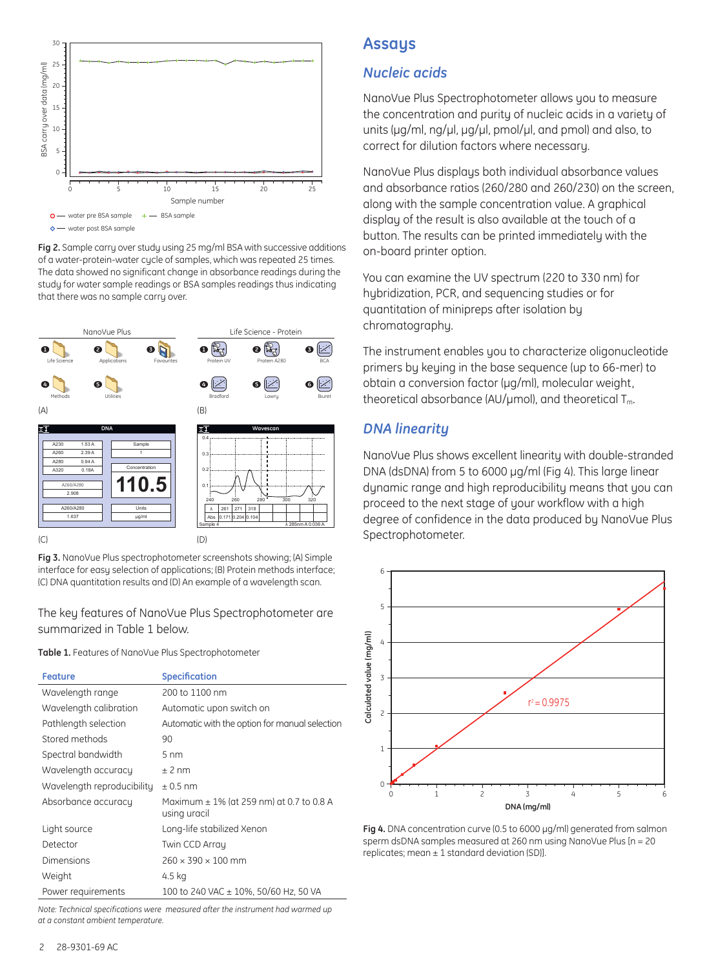

**Fig 2.** Sample carry over study using 25 mg/ml BSA with successive additions of a water-protein-water cycle of samples, which was repeated 25 times. The data showed no significant change in absorbance readings during the study for water sample readings or BSA samples readings thus indicating that there was no sample carry over.



**Fig 3.** NanoVue Plus spectrophotometer screenshots showing; (A) Simple interface for easy selection of applications; (B) Protein methods interface; (C) DNA quantitation results and (D) An example of a wavelength scan.

The key features of NanoVue Plus Spectrophotometer are summarized in Table 1 below.

**Table 1.** Features of NanoVue Plus Spectrophotometer

| <b>Feature</b>             | <b>Specification</b>                                         |
|----------------------------|--------------------------------------------------------------|
| Wavelength range           | 200 to 1100 nm                                               |
| Wavelength calibration     | Automatic upon switch on                                     |
| Pathlength selection       | Automatic with the option for manual selection               |
| Stored methods             | 90                                                           |
| Spectral bandwidth         | $5 \text{ nm}$                                               |
| Wavelength accuracy        | $±$ 2 nm                                                     |
| Wavelength reproducibility | $\pm$ 0.5 nm                                                 |
| Absorbance accuracy        | Maximum $\pm$ 1% (at 259 nm) at 0.7 to 0.8 A<br>using uracil |
| Light source               | Long-life stabilized Xenon                                   |
| Detector                   | Twin CCD Array                                               |
| Dimensions                 | $260 \times 390 \times 100$ mm                               |
| Weight                     | 4.5 kg                                                       |
| Power requirements         | 100 to 240 VAC ± 10%, 50/60 Hz, 50 VA                        |

*Note: Technical specifications were measured after the instrument had warmed up at a constant ambient temperature.*

# **Assays**

#### *Nucleic acids*

NanoVue Plus Spectrophotometer allows you to measure the concentration and purity of nucleic acids in a variety of units (μg/ml, ng/μl, μg/μl, pmol/μl, and pmol) and also, to correct for dilution factors where necessary.

NanoVue Plus displays both individual absorbance values and absorbance ratios (260/280 and 260/230) on the screen, along with the sample concentration value. A graphical display of the result is also available at the touch of a button. The results can be printed immediately with the on-board printer option.

You can examine the UV spectrum (220 to 330 nm) for hubridization, PCR, and sequencing studies or for quantitation of minipreps after isolation by chromatography.

The instrument enables you to characterize oligonucleotide primers by keying in the base sequence (up to 66-mer) to obtain a conversion factor (μg/ml), molecular weight, theoretical absorbance (AU/µmol), and theoretical  $T_m$ .

# *DNA linearity*

NanoVue Plus shows excellent linearity with double-stranded DNA (dsDNA) from 5 to 6000 µg/ml (Fig 4). This large linear dynamic range and high reproducibility means that you can proceed to the next stage of your workflow with a high degree of confidence in the data produced by NanoVue Plus Spectrophotometer.



**Fig 4.** DNA concentration curve (0.5 to 6000 µg/ml) generated from salmon sperm dsDNA samples measured at 260 nm using NanoVue Plus [n = 20 replicates; mean  $\pm 1$  standard deviation (SD)].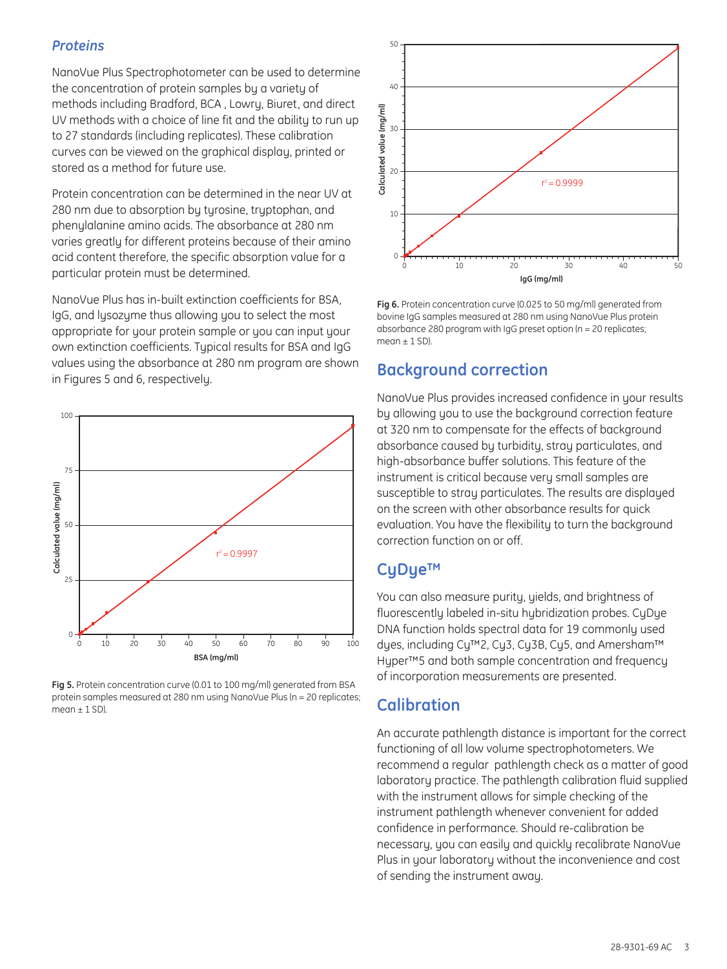#### *Proteins*

NanoVue Plus Spectrophotometer can be used to determine the concentration of protein samples by a variety of methods including Bradford, BCA , Lowry, Biuret, and direct UV methods with a choice of line fit and the ability to run up to 27 standards (including replicates). These calibration curves can be viewed on the graphical display, printed or stored as a method for future use.

Protein concentration can be determined in the near UV at 280 nm due to absorption by tyrosine, tryptophan, and phenylalanine amino acids. The absorbance at 280 nm varies greatly for different proteins because of their amino acid content therefore, the specific absorption value for a particular protein must be determined.

NanoVue Plus has in-built extinction coefficients for BSA, IgG, and lysozyme thus allowing you to select the most appropriate for your protein sample or you can input your own extinction coefficients. Typical results for BSA and IgG values using the absorbance at 280 nm program are shown values using the absorbance at 280 nm program are shown **Background correction**<br>in Figures 5 and 6, respectively.

![](_page_2_Figure_4.jpeg)

**Fig 5.** Protein concentration curve (0.01 to 100 mg/ml) generated from BSA protein samples measured at 280 nm using NanoVue Plus (n = 20 replicates; mean  $\pm$  1 SD).

![](_page_2_Figure_6.jpeg)

**Fig 6.** Protein concentration curve (0.025 to 50 mg/ml) generated from bovine IgG samples measured at 280 nm using NanoVue Plus protein absorbance 280 program with IgG preset option (n = 20 replicates;  $m \rho n + 1 S$ 

NanoVue Plus provides increased confidence in your results by allowing you to use the background correction feature at 320 nm to compensate for the effects of background absorbance caused by turbidity, stray particulates, and high-absorbance buffer solutions. This feature of the instrument is critical because very small samples are susceptible to stray particulates. The results are displayed on the screen with other absorbance results for quick evaluation. You have the flexibility to turn the background correction function on or off.

# **CyDye™**

You can also measure purity, yields, and brightness of fluorescently labeled in-situ hybridization probes. CyDye DNA function holds spectral data for 19 commonly used dyes, including Cy™2, Cy3, Cy3B, Cy5, and Amersham™ Hyper™5 and both sample concentration and frequency of incorporation measurements are presented.

# **Calibration**

An accurate pathlength distance is important for the correct functioning of all low volume spectrophotometers. We recommend a regular pathlength check as a matter of good laboratory practice. The pathlength calibration fluid supplied with the instrument allows for simple checking of the instrument pathlength whenever convenient for added confidence in performance. Should re-calibration be necessary, you can easily and quickly recalibrate NanoVue Plus in your laboratory without the inconvenience and cost of sending the instrument away.